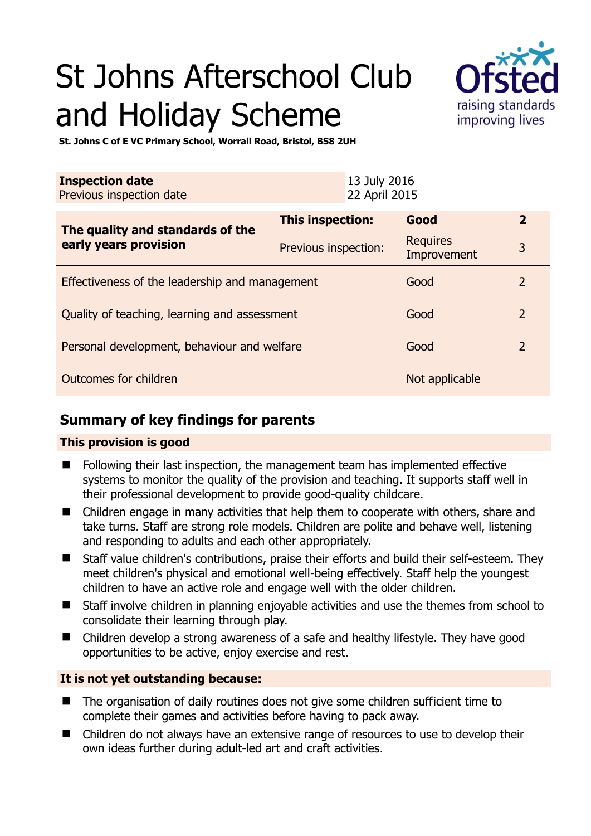# St Johns Afterschool Club and Holiday Scheme



**St. Johns C of E VC Primary School, Worrall Road, Bristol, BS8 2UH** 

| <b>Inspection date</b><br>Previous inspection date        |                      | 13 July 2016<br>22 April 2015 |                         |                |
|-----------------------------------------------------------|----------------------|-------------------------------|-------------------------|----------------|
| The quality and standards of the<br>early years provision | This inspection:     |                               | Good                    | $\overline{2}$ |
|                                                           | Previous inspection: |                               | Requires<br>Improvement | 3              |
| Effectiveness of the leadership and management            |                      |                               | Good                    | 2              |
| Quality of teaching, learning and assessment              |                      |                               | Good                    | $\overline{2}$ |
| Personal development, behaviour and welfare               |                      |                               | Good                    | $\overline{2}$ |
| Outcomes for children                                     |                      |                               | Not applicable          |                |

# **Summary of key findings for parents**

## **This provision is good**

- Following their last inspection, the management team has implemented effective systems to monitor the quality of the provision and teaching. It supports staff well in their professional development to provide good-quality childcare.
- Children engage in many activities that help them to cooperate with others, share and take turns. Staff are strong role models. Children are polite and behave well, listening and responding to adults and each other appropriately.
- Staff value children's contributions, praise their efforts and build their self-esteem. They meet children's physical and emotional well-being effectively. Staff help the youngest children to have an active role and engage well with the older children.
- Staff involve children in planning enjoyable activities and use the themes from school to consolidate their learning through play.
- Children develop a strong awareness of a safe and healthy lifestyle. They have good opportunities to be active, enjoy exercise and rest.

## **It is not yet outstanding because:**

- The organisation of daily routines does not give some children sufficient time to complete their games and activities before having to pack away.
- Children do not always have an extensive range of resources to use to develop their own ideas further during adult-led art and craft activities.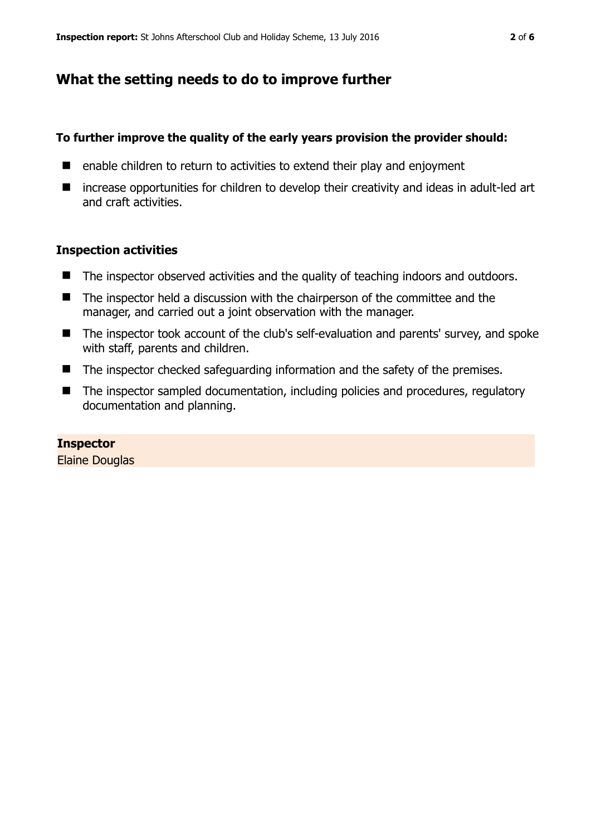## **What the setting needs to do to improve further**

## **To further improve the quality of the early years provision the provider should:**

- enable children to return to activities to extend their play and enjoyment
- increase opportunities for children to develop their creativity and ideas in adult-led art and craft activities.

#### **Inspection activities**

- The inspector observed activities and the quality of teaching indoors and outdoors.
- The inspector held a discussion with the chairperson of the committee and the manager, and carried out a joint observation with the manager.
- The inspector took account of the club's self-evaluation and parents' survey, and spoke with staff, parents and children.
- The inspector checked safeguarding information and the safety of the premises.
- The inspector sampled documentation, including policies and procedures, regulatory documentation and planning.

# **Inspector**

Elaine Douglas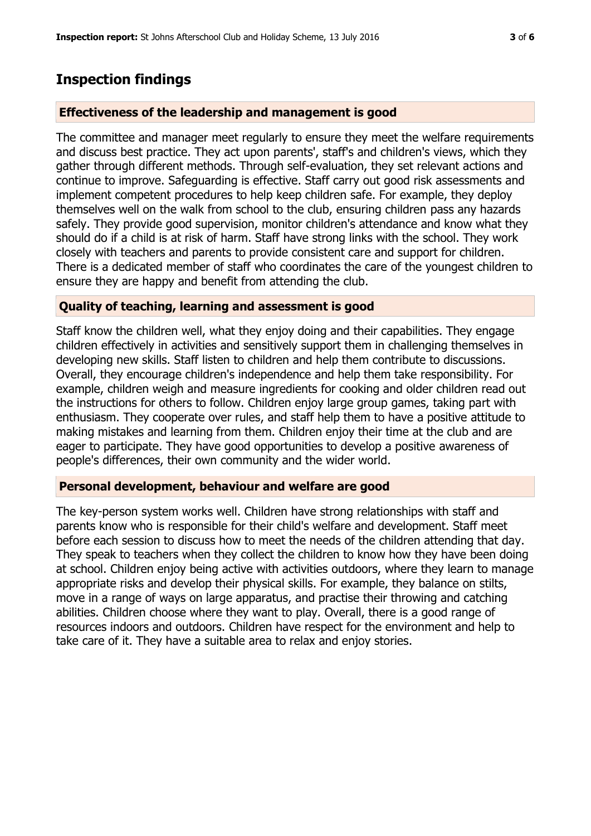## **Inspection findings**

## **Effectiveness of the leadership and management is good**

The committee and manager meet regularly to ensure they meet the welfare requirements and discuss best practice. They act upon parents', staff's and children's views, which they gather through different methods. Through self-evaluation, they set relevant actions and continue to improve. Safeguarding is effective. Staff carry out good risk assessments and implement competent procedures to help keep children safe. For example, they deploy themselves well on the walk from school to the club, ensuring children pass any hazards safely. They provide good supervision, monitor children's attendance and know what they should do if a child is at risk of harm. Staff have strong links with the school. They work closely with teachers and parents to provide consistent care and support for children. There is a dedicated member of staff who coordinates the care of the youngest children to ensure they are happy and benefit from attending the club.

## **Quality of teaching, learning and assessment is good**

Staff know the children well, what they enjoy doing and their capabilities. They engage children effectively in activities and sensitively support them in challenging themselves in developing new skills. Staff listen to children and help them contribute to discussions. Overall, they encourage children's independence and help them take responsibility. For example, children weigh and measure ingredients for cooking and older children read out the instructions for others to follow. Children enjoy large group games, taking part with enthusiasm. They cooperate over rules, and staff help them to have a positive attitude to making mistakes and learning from them. Children enjoy their time at the club and are eager to participate. They have good opportunities to develop a positive awareness of people's differences, their own community and the wider world.

#### **Personal development, behaviour and welfare are good**

The key-person system works well. Children have strong relationships with staff and parents know who is responsible for their child's welfare and development. Staff meet before each session to discuss how to meet the needs of the children attending that day. They speak to teachers when they collect the children to know how they have been doing at school. Children enjoy being active with activities outdoors, where they learn to manage appropriate risks and develop their physical skills. For example, they balance on stilts, move in a range of ways on large apparatus, and practise their throwing and catching abilities. Children choose where they want to play. Overall, there is a good range of resources indoors and outdoors. Children have respect for the environment and help to take care of it. They have a suitable area to relax and enjoy stories.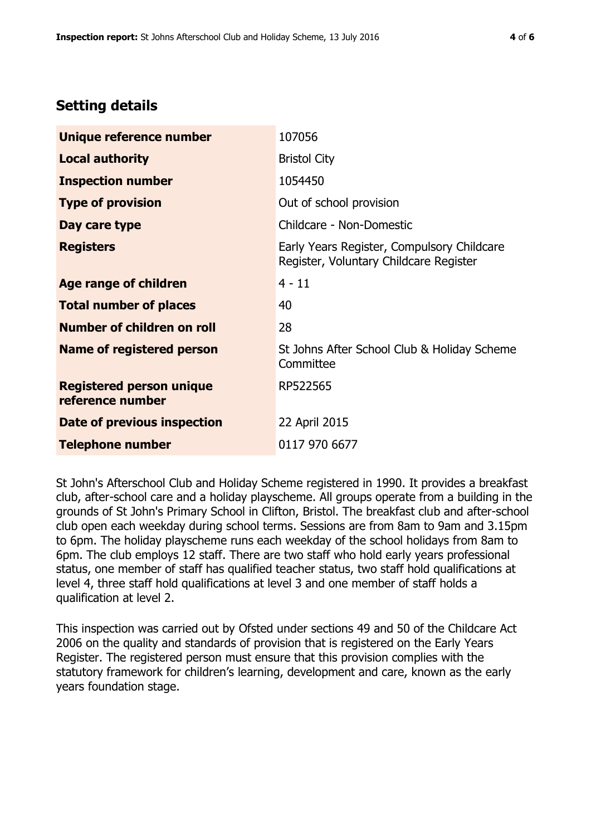# **Setting details**

| Unique reference number                             | 107056                                                                               |  |  |
|-----------------------------------------------------|--------------------------------------------------------------------------------------|--|--|
| <b>Local authority</b>                              | <b>Bristol City</b>                                                                  |  |  |
| <b>Inspection number</b>                            | 1054450                                                                              |  |  |
| <b>Type of provision</b>                            | Out of school provision                                                              |  |  |
| Day care type                                       | Childcare - Non-Domestic                                                             |  |  |
| <b>Registers</b>                                    | Early Years Register, Compulsory Childcare<br>Register, Voluntary Childcare Register |  |  |
| <b>Age range of children</b>                        | $4 - 11$                                                                             |  |  |
| <b>Total number of places</b>                       | 40                                                                                   |  |  |
| Number of children on roll                          | 28                                                                                   |  |  |
| Name of registered person                           | St Johns After School Club & Holiday Scheme<br>Committee                             |  |  |
| <b>Registered person unique</b><br>reference number | RP522565                                                                             |  |  |
| Date of previous inspection                         | 22 April 2015                                                                        |  |  |
| <b>Telephone number</b>                             | 0117 970 6677                                                                        |  |  |

St John's Afterschool Club and Holiday Scheme registered in 1990. It provides a breakfast club, after-school care and a holiday playscheme. All groups operate from a building in the grounds of St John's Primary School in Clifton, Bristol. The breakfast club and after-school club open each weekday during school terms. Sessions are from 8am to 9am and 3.15pm to 6pm. The holiday playscheme runs each weekday of the school holidays from 8am to 6pm. The club employs 12 staff. There are two staff who hold early years professional status, one member of staff has qualified teacher status, two staff hold qualifications at level 4, three staff hold qualifications at level 3 and one member of staff holds a qualification at level 2.

This inspection was carried out by Ofsted under sections 49 and 50 of the Childcare Act 2006 on the quality and standards of provision that is registered on the Early Years Register. The registered person must ensure that this provision complies with the statutory framework for children's learning, development and care, known as the early years foundation stage.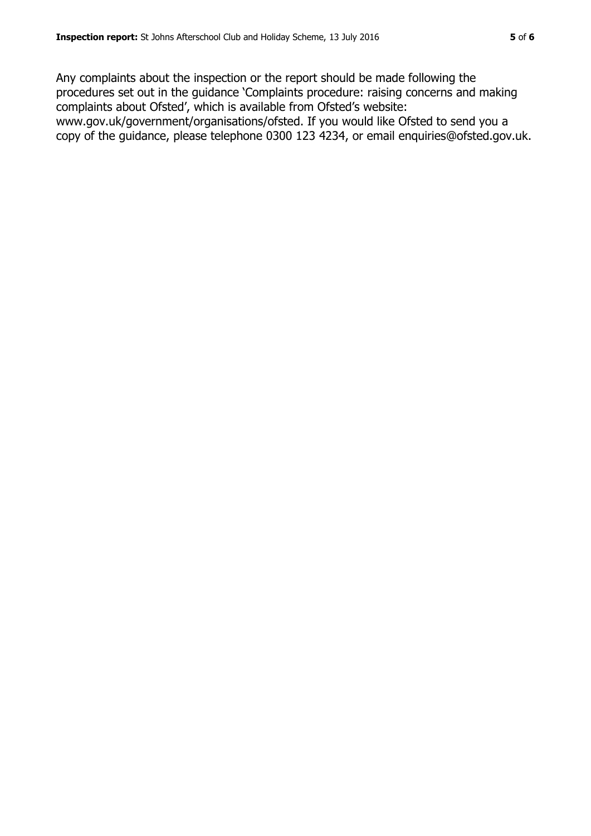Any complaints about the inspection or the report should be made following the procedures set out in the guidance 'Complaints procedure: raising concerns and making complaints about Ofsted', which is available from Ofsted's website: www.gov.uk/government/organisations/ofsted. If you would like Ofsted to send you a copy of the guidance, please telephone 0300 123 4234, or email enquiries@ofsted.gov.uk.